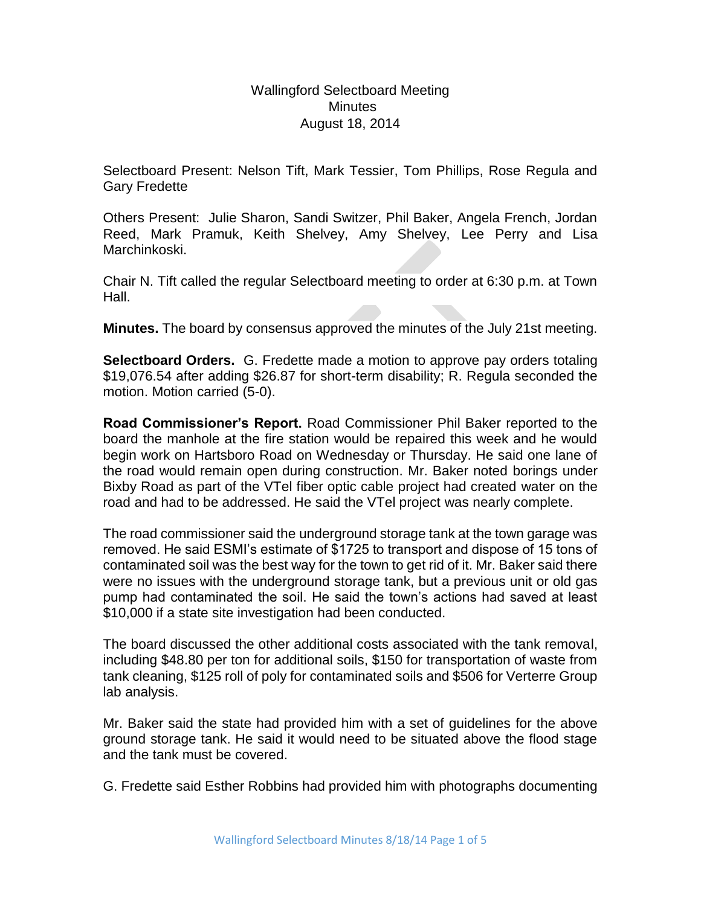Wallingford Selectboard Meeting **Minutes** August 18, 2014

Selectboard Present: Nelson Tift, Mark Tessier, Tom Phillips, Rose Regula and Gary Fredette

Others Present: Julie Sharon, Sandi Switzer, Phil Baker, Angela French, Jordan Reed, Mark Pramuk, Keith Shelvey, Amy Shelvey, Lee Perry and Lisa Marchinkoski.

Chair N. Tift called the regular Selectboard meeting to order at 6:30 p.m. at Town Hall.

**Minutes.** The board by consensus approved the minutes of the July 21st meeting.

**Selectboard Orders.** G. Fredette made a motion to approve pay orders totaling \$19,076.54 after adding \$26.87 for short-term disability; R. Regula seconded the motion. Motion carried (5-0).

**Road Commissioner's Report.** Road Commissioner Phil Baker reported to the board the manhole at the fire station would be repaired this week and he would begin work on Hartsboro Road on Wednesday or Thursday. He said one lane of the road would remain open during construction. Mr. Baker noted borings under Bixby Road as part of the VTel fiber optic cable project had created water on the road and had to be addressed. He said the VTel project was nearly complete.

The road commissioner said the underground storage tank at the town garage was removed. He said ESMI's estimate of \$1725 to transport and dispose of 15 tons of contaminated soil was the best way for the town to get rid of it. Mr. Baker said there were no issues with the underground storage tank, but a previous unit or old gas pump had contaminated the soil. He said the town's actions had saved at least \$10,000 if a state site investigation had been conducted.

The board discussed the other additional costs associated with the tank removal, including \$48.80 per ton for additional soils, \$150 for transportation of waste from tank cleaning, \$125 roll of poly for contaminated soils and \$506 for Verterre Group lab analysis.

Mr. Baker said the state had provided him with a set of guidelines for the above ground storage tank. He said it would need to be situated above the flood stage and the tank must be covered.

G. Fredette said Esther Robbins had provided him with photographs documenting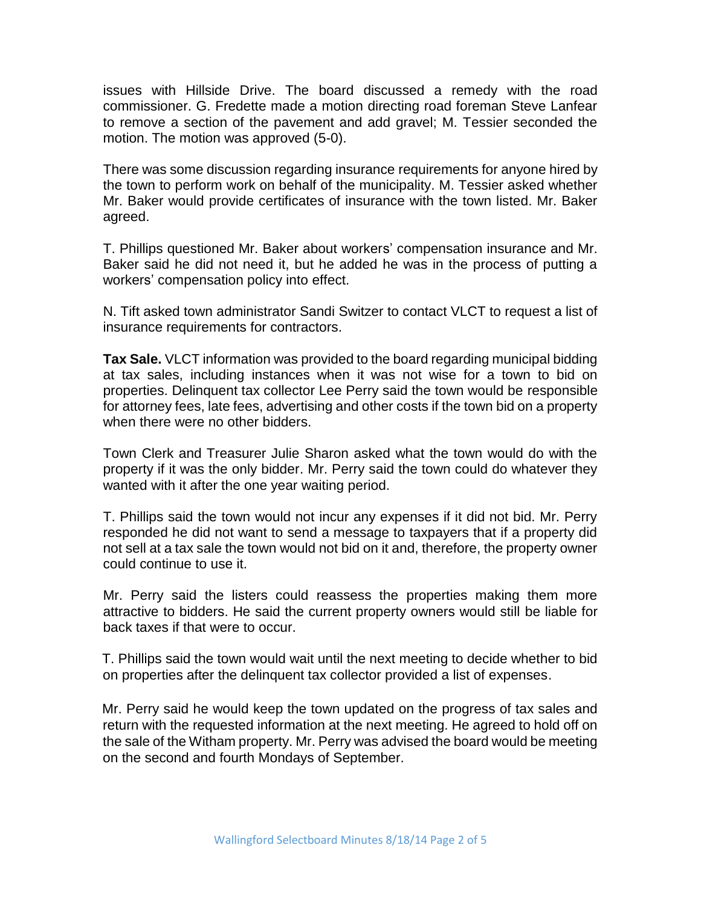issues with Hillside Drive. The board discussed a remedy with the road commissioner. G. Fredette made a motion directing road foreman Steve Lanfear to remove a section of the pavement and add gravel; M. Tessier seconded the motion. The motion was approved (5-0).

There was some discussion regarding insurance requirements for anyone hired by the town to perform work on behalf of the municipality. M. Tessier asked whether Mr. Baker would provide certificates of insurance with the town listed. Mr. Baker agreed.

T. Phillips questioned Mr. Baker about workers' compensation insurance and Mr. Baker said he did not need it, but he added he was in the process of putting a workers' compensation policy into effect.

N. Tift asked town administrator Sandi Switzer to contact VLCT to request a list of insurance requirements for contractors.

**Tax Sale.** VLCT information was provided to the board regarding municipal bidding at tax sales, including instances when it was not wise for a town to bid on properties. Delinquent tax collector Lee Perry said the town would be responsible for attorney fees, late fees, advertising and other costs if the town bid on a property when there were no other bidders.

Town Clerk and Treasurer Julie Sharon asked what the town would do with the property if it was the only bidder. Mr. Perry said the town could do whatever they wanted with it after the one year waiting period.

T. Phillips said the town would not incur any expenses if it did not bid. Mr. Perry responded he did not want to send a message to taxpayers that if a property did not sell at a tax sale the town would not bid on it and, therefore, the property owner could continue to use it.

Mr. Perry said the listers could reassess the properties making them more attractive to bidders. He said the current property owners would still be liable for back taxes if that were to occur.

T. Phillips said the town would wait until the next meeting to decide whether to bid on properties after the delinquent tax collector provided a list of expenses.

Mr. Perry said he would keep the town updated on the progress of tax sales and return with the requested information at the next meeting. He agreed to hold off on the sale of the Witham property. Mr. Perry was advised the board would be meeting on the second and fourth Mondays of September.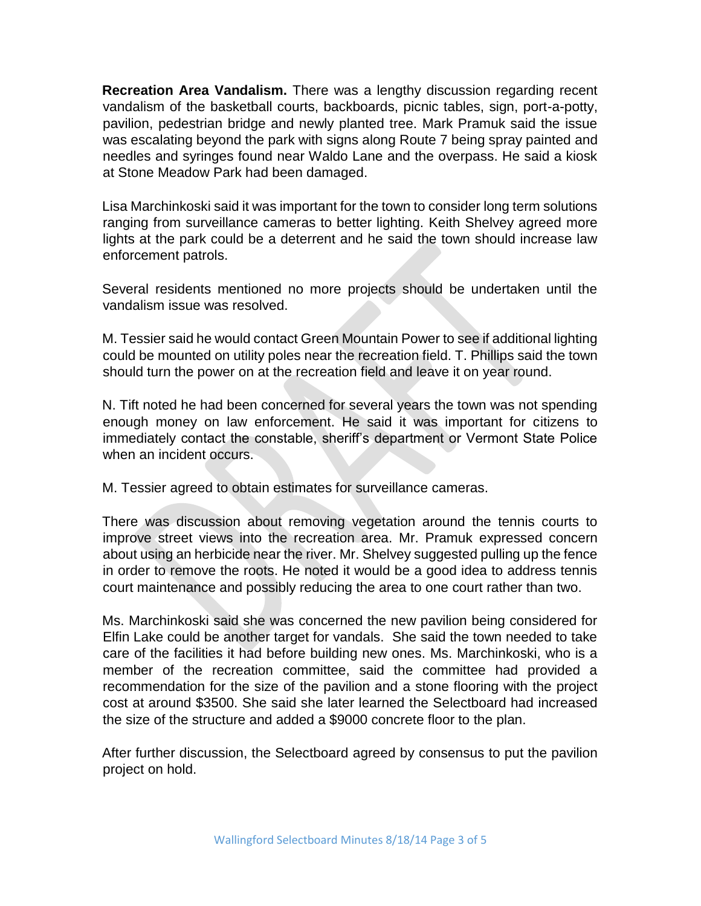**Recreation Area Vandalism.** There was a lengthy discussion regarding recent vandalism of the basketball courts, backboards, picnic tables, sign, port-a-potty, pavilion, pedestrian bridge and newly planted tree. Mark Pramuk said the issue was escalating beyond the park with signs along Route 7 being spray painted and needles and syringes found near Waldo Lane and the overpass. He said a kiosk at Stone Meadow Park had been damaged.

Lisa Marchinkoski said it was important for the town to consider long term solutions ranging from surveillance cameras to better lighting. Keith Shelvey agreed more lights at the park could be a deterrent and he said the town should increase law enforcement patrols.

Several residents mentioned no more projects should be undertaken until the vandalism issue was resolved.

M. Tessier said he would contact Green Mountain Power to see if additional lighting could be mounted on utility poles near the recreation field. T. Phillips said the town should turn the power on at the recreation field and leave it on year round.

N. Tift noted he had been concerned for several years the town was not spending enough money on law enforcement. He said it was important for citizens to immediately contact the constable, sheriff's department or Vermont State Police when an incident occurs.

M. Tessier agreed to obtain estimates for surveillance cameras.

There was discussion about removing vegetation around the tennis courts to improve street views into the recreation area. Mr. Pramuk expressed concern about using an herbicide near the river. Mr. Shelvey suggested pulling up the fence in order to remove the roots. He noted it would be a good idea to address tennis court maintenance and possibly reducing the area to one court rather than two.

Ms. Marchinkoski said she was concerned the new pavilion being considered for Elfin Lake could be another target for vandals. She said the town needed to take care of the facilities it had before building new ones. Ms. Marchinkoski, who is a member of the recreation committee, said the committee had provided a recommendation for the size of the pavilion and a stone flooring with the project cost at around \$3500. She said she later learned the Selectboard had increased the size of the structure and added a \$9000 concrete floor to the plan.

After further discussion, the Selectboard agreed by consensus to put the pavilion project on hold.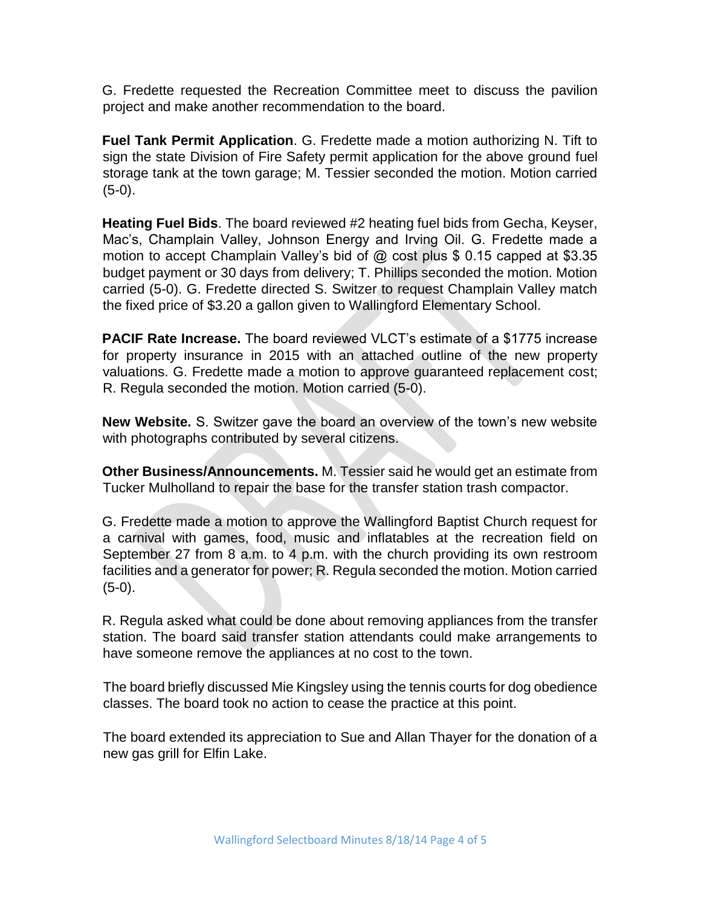G. Fredette requested the Recreation Committee meet to discuss the pavilion project and make another recommendation to the board.

**Fuel Tank Permit Application**. G. Fredette made a motion authorizing N. Tift to sign the state Division of Fire Safety permit application for the above ground fuel storage tank at the town garage; M. Tessier seconded the motion. Motion carried (5-0).

**Heating Fuel Bids**. The board reviewed #2 heating fuel bids from Gecha, Keyser, Mac's, Champlain Valley, Johnson Energy and Irving Oil. G. Fredette made a motion to accept Champlain Valley's bid of @ cost plus \$ 0.15 capped at \$3.35 budget payment or 30 days from delivery; T. Phillips seconded the motion. Motion carried (5-0). G. Fredette directed S. Switzer to request Champlain Valley match the fixed price of \$3.20 a gallon given to Wallingford Elementary School.

**PACIF Rate Increase.** The board reviewed VLCT's estimate of a \$1775 increase for property insurance in 2015 with an attached outline of the new property valuations. G. Fredette made a motion to approve guaranteed replacement cost; R. Regula seconded the motion. Motion carried (5-0).

**New Website.** S. Switzer gave the board an overview of the town's new website with photographs contributed by several citizens.

**Other Business/Announcements.** M. Tessier said he would get an estimate from Tucker Mulholland to repair the base for the transfer station trash compactor.

G. Fredette made a motion to approve the Wallingford Baptist Church request for a carnival with games, food, music and inflatables at the recreation field on September 27 from 8 a.m. to 4 p.m. with the church providing its own restroom facilities and a generator for power; R. Regula seconded the motion. Motion carried (5-0).

R. Regula asked what could be done about removing appliances from the transfer station. The board said transfer station attendants could make arrangements to have someone remove the appliances at no cost to the town.

The board briefly discussed Mie Kingsley using the tennis courts for dog obedience classes. The board took no action to cease the practice at this point.

The board extended its appreciation to Sue and Allan Thayer for the donation of a new gas grill for Elfin Lake.